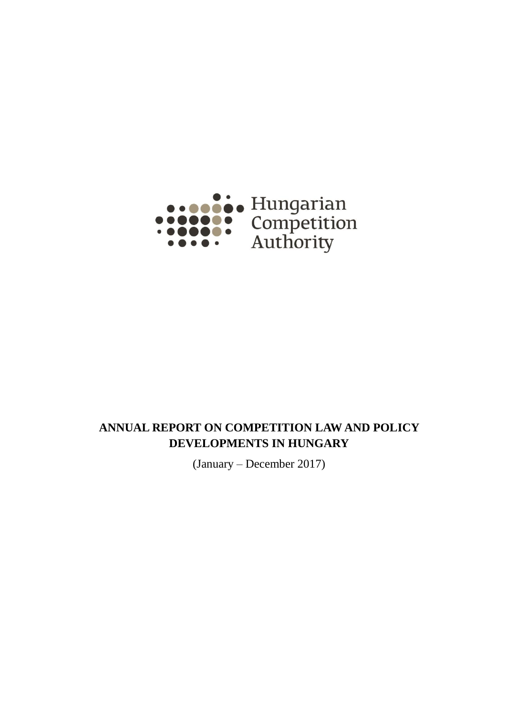<span id="page-0-0"></span>

# **ANNUAL REPORT ON COMPETITION LAW AND POLICY DEVELOPMENTS IN HUNGARY**

(January – December 2017)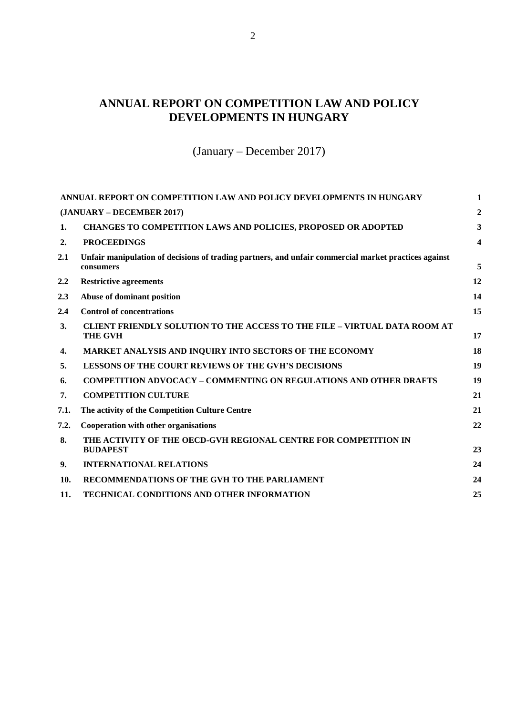# **ANNUAL REPORT ON COMPETITION LAW AND POLICY DEVELOPMENTS IN HUNGARY**

(January – December 2017)

<span id="page-1-0"></span>

|      | ANNUAL REPORT ON COMPETITION LAW AND POLICY DEVELOPMENTS IN HUNGARY                                               | 1                       |
|------|-------------------------------------------------------------------------------------------------------------------|-------------------------|
|      | (JANUARY – DECEMBER 2017)                                                                                         | $\overline{2}$          |
| 1.   | <b>CHANGES TO COMPETITION LAWS AND POLICIES, PROPOSED OR ADOPTED</b>                                              | 3                       |
| 2.   | <b>PROCEEDINGS</b>                                                                                                | $\overline{\mathbf{4}}$ |
| 2.1  | Unfair manipulation of decisions of trading partners, and unfair commercial market practices against<br>consumers | 5                       |
| 2.2  | <b>Restrictive agreements</b>                                                                                     | 12                      |
| 2.3  | Abuse of dominant position                                                                                        | 14                      |
| 2.4  | <b>Control of concentrations</b>                                                                                  | 15                      |
| 3.   | <b>CLIENT FRIENDLY SOLUTION TO THE ACCESS TO THE FILE - VIRTUAL DATA ROOM AT</b><br><b>THE GVH</b>                | 17                      |
| 4.   | MARKET ANALYSIS AND INQUIRY INTO SECTORS OF THE ECONOMY                                                           | 18                      |
| 5.   | <b>LESSONS OF THE COURT REVIEWS OF THE GVH'S DECISIONS</b>                                                        | 19                      |
| 6.   | <b>COMPETITION ADVOCACY - COMMENTING ON REGULATIONS AND OTHER DRAFTS</b>                                          | 19                      |
| 7.   | <b>COMPETITION CULTURE</b>                                                                                        | 21                      |
| 7.1. | The activity of the Competition Culture Centre                                                                    | 21                      |
| 7.2. | Cooperation with other organisations                                                                              | 22                      |
| 8.   | THE ACTIVITY OF THE OECD-GVH REGIONAL CENTRE FOR COMPETITION IN<br><b>BUDAPEST</b>                                | 23                      |
| 9.   | <b>INTERNATIONAL RELATIONS</b>                                                                                    | 24                      |
| 10.  | RECOMMENDATIONS OF THE GVH TO THE PARLIAMENT                                                                      | 24                      |
| 11.  | <b>TECHNICAL CONDITIONS AND OTHER INFORMATION</b>                                                                 | 25                      |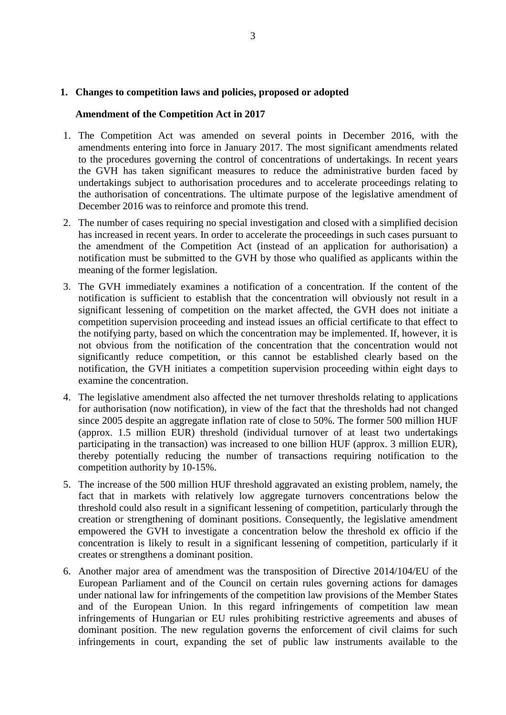## <span id="page-2-0"></span>**1. Changes to competition laws and policies, proposed or adopted**

## **Amendment of the Competition Act in 2017**

- 1. The Competition Act was amended on several points in December 2016, with the amendments entering into force in January 2017. The most significant amendments related to the procedures governing the control of concentrations of undertakings. In recent years the GVH has taken significant measures to reduce the administrative burden faced by undertakings subject to authorisation procedures and to accelerate proceedings relating to the authorisation of concentrations. The ultimate purpose of the legislative amendment of December 2016 was to reinforce and promote this trend.
- 2. The number of cases requiring no special investigation and closed with a simplified decision has increased in recent years. In order to accelerate the proceedings in such cases pursuant to the amendment of the Competition Act (instead of an application for authorisation) a notification must be submitted to the GVH by those who qualified as applicants within the meaning of the former legislation.
- 3. The GVH immediately examines a notification of a concentration. If the content of the notification is sufficient to establish that the concentration will obviously not result in a significant lessening of competition on the market affected, the GVH does not initiate a competition supervision proceeding and instead issues an official certificate to that effect to the notifying party, based on which the concentration may be implemented. If, however, it is not obvious from the notification of the concentration that the concentration would not significantly reduce competition, or this cannot be established clearly based on the notification, the GVH initiates a competition supervision proceeding within eight days to examine the concentration.
- 4. The legislative amendment also affected the net turnover thresholds relating to applications for authorisation (now notification), in view of the fact that the thresholds had not changed since 2005 despite an aggregate inflation rate of close to 50%. The former 500 million HUF (approx. 1.5 million EUR) threshold (individual turnover of at least two undertakings participating in the transaction) was increased to one billion HUF (approx. 3 million EUR), thereby potentially reducing the number of transactions requiring notification to the competition authority by 10-15%.
- 5. The increase of the 500 million HUF threshold aggravated an existing problem, namely, the fact that in markets with relatively low aggregate turnovers concentrations below the threshold could also result in a significant lessening of competition, particularly through the creation or strengthening of dominant positions. Consequently, the legislative amendment empowered the GVH to investigate a concentration below the threshold ex officio if the concentration is likely to result in a significant lessening of competition, particularly if it creates or strengthens a dominant position.
- 6. Another major area of amendment was the transposition of Directive 2014/104/EU of the European Parliament and of the Council on certain rules governing actions for damages under national law for infringements of the competition law provisions of the Member States and of the European Union. In this regard infringements of competition law mean infringements of Hungarian or EU rules prohibiting restrictive agreements and abuses of dominant position. The new regulation governs the enforcement of civil claims for such infringements in court, expanding the set of public law instruments available to the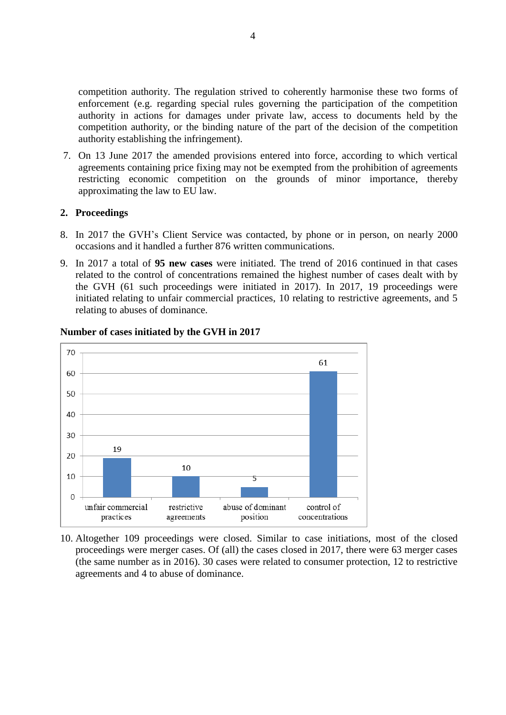competition authority. The regulation strived to coherently harmonise these two forms of enforcement (e.g. regarding special rules governing the participation of the competition authority in actions for damages under private law, access to documents held by the competition authority, or the binding nature of the part of the decision of the competition authority establishing the infringement).

7. On 13 June 2017 the amended provisions entered into force, according to which vertical agreements containing price fixing may not be exempted from the prohibition of agreements restricting economic competition on the grounds of minor importance, thereby approximating the law to EU law.

# <span id="page-3-0"></span>**2. Proceedings**

- 8. In 2017 the GVH's Client Service was contacted, by phone or in person, on nearly 2000 occasions and it handled a further 876 written communications.
- 9. In 2017 a total of **95 new cases** were initiated. The trend of 2016 continued in that cases related to the control of concentrations remained the highest number of cases dealt with by the GVH (61 such proceedings were initiated in 2017). In 2017, 19 proceedings were initiated relating to unfair commercial practices, 10 relating to restrictive agreements, and 5 relating to abuses of dominance.



## **Number of cases initiated by the GVH in 2017**

10. Altogether 109 proceedings were closed. Similar to case initiations, most of the closed proceedings were merger cases. Of (all) the cases closed in 2017, there were 63 merger cases (the same number as in 2016). 30 cases were related to consumer protection, 12 to restrictive agreements and 4 to abuse of dominance.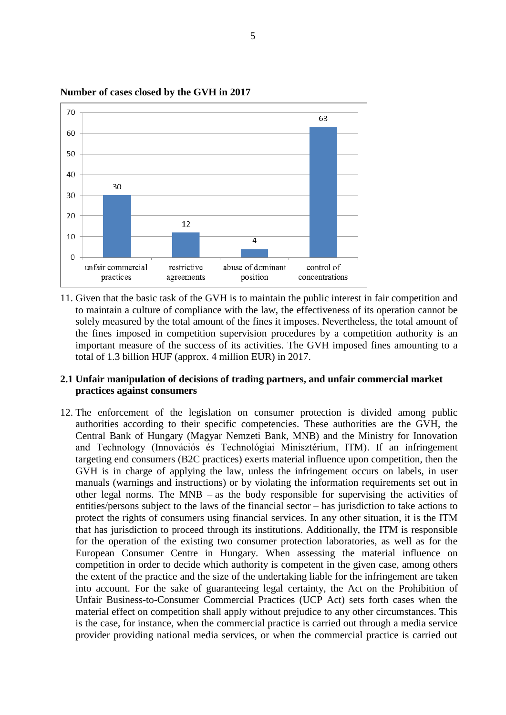

**Number of cases closed by the GVH in 2017**

11. Given that the basic task of the GVH is to maintain the public interest in fair competition and to maintain a culture of compliance with the law, the effectiveness of its operation cannot be solely measured by the total amount of the fines it imposes. Nevertheless, the total amount of the fines imposed in competition supervision procedures by a competition authority is an important measure of the success of its activities. The GVH imposed fines amounting to a total of 1.3 billion HUF (approx. 4 million EUR) in 2017.

# <span id="page-4-0"></span>**2.1 Unfair manipulation of decisions of trading partners, and unfair commercial market practices against consumers**

12. The enforcement of the legislation on consumer protection is divided among public authorities according to their specific competencies. These authorities are the GVH, the Central Bank of Hungary (Magyar Nemzeti Bank, MNB) and the Ministry for Innovation and Technology (Innovációs és Technológiai Minisztérium, ITM). If an infringement targeting end consumers (B2C practices) exerts material influence upon competition, then the GVH is in charge of applying the law, unless the infringement occurs on labels, in user manuals (warnings and instructions) or by violating the information requirements set out in other legal norms. The MNB – as the body responsible for supervising the activities of entities/persons subject to the laws of the financial sector – has jurisdiction to take actions to protect the rights of consumers using financial services. In any other situation, it is the ITM that has jurisdiction to proceed through its institutions. Additionally, the ITM is responsible for the operation of the existing two consumer protection laboratories, as well as for the European Consumer Centre in Hungary. When assessing the material influence on competition in order to decide which authority is competent in the given case, among others the extent of the practice and the size of the undertaking liable for the infringement are taken into account. For the sake of guaranteeing legal certainty, the Act on the Prohibition of Unfair Business-to-Consumer Commercial Practices (UCP Act) sets forth cases when the material effect on competition shall apply without prejudice to any other circumstances. This is the case, for instance, when the commercial practice is carried out through a media service provider providing national media services, or when the commercial practice is carried out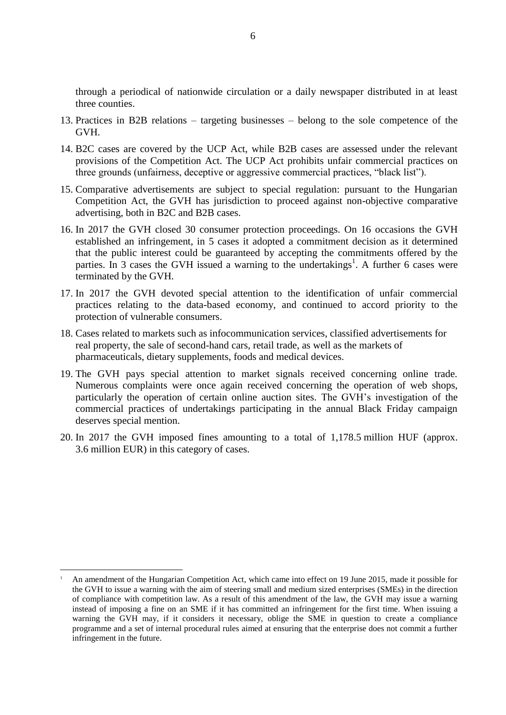through a periodical of nationwide circulation or a daily newspaper distributed in at least three counties.

- 13. Practices in B2B relations targeting businesses belong to the sole competence of the GVH.
- 14. B2C cases are covered by the UCP Act, while B2B cases are assessed under the relevant provisions of the Competition Act. The UCP Act prohibits unfair commercial practices on three grounds (unfairness, deceptive or aggressive commercial practices, "black list").
- 15. Comparative advertisements are subject to special regulation: pursuant to the Hungarian Competition Act, the GVH has jurisdiction to proceed against non-objective comparative advertising, both in B2C and B2B cases.
- 16. In 2017 the GVH closed 30 consumer protection proceedings. On 16 occasions the GVH established an infringement, in 5 cases it adopted a commitment decision as it determined that the public interest could be guaranteed by accepting the commitments offered by the parties. In 3 cases the GVH issued a warning to the undertakings<sup>1</sup>. A further 6 cases were terminated by the GVH.
- 17. In 2017 the GVH devoted special attention to the identification of unfair commercial practices relating to the data-based economy, and continued to accord priority to the protection of vulnerable consumers.
- 18. Cases related to markets such as infocommunication services, classified advertisements for real property, the sale of second-hand cars, retail trade, as well as the markets of pharmaceuticals, dietary supplements, foods and medical devices.
- 19. The GVH pays special attention to market signals received concerning online trade. Numerous complaints were once again received concerning the operation of web shops, particularly the operation of certain online auction sites. The GVH's investigation of the commercial practices of undertakings participating in the annual Black Friday campaign deserves special mention.
- 20. In 2017 the GVH imposed fines amounting to a total of 1,178.5 million HUF (approx. 3.6 million EUR) in this category of cases.

 $\overline{a}$ 

<sup>1</sup> An amendment of the Hungarian Competition Act, which came into effect on 19 June 2015, made it possible for the GVH to issue a warning with the aim of steering small and medium sized enterprises (SMEs) in the direction of compliance with competition law. As a result of this amendment of the law, the GVH may issue a warning instead of imposing a fine on an SME if it has committed an infringement for the first time. When issuing a warning the GVH may, if it considers it necessary, oblige the SME in question to create a compliance programme and a set of internal procedural rules aimed at ensuring that the enterprise does not commit a further infringement in the future.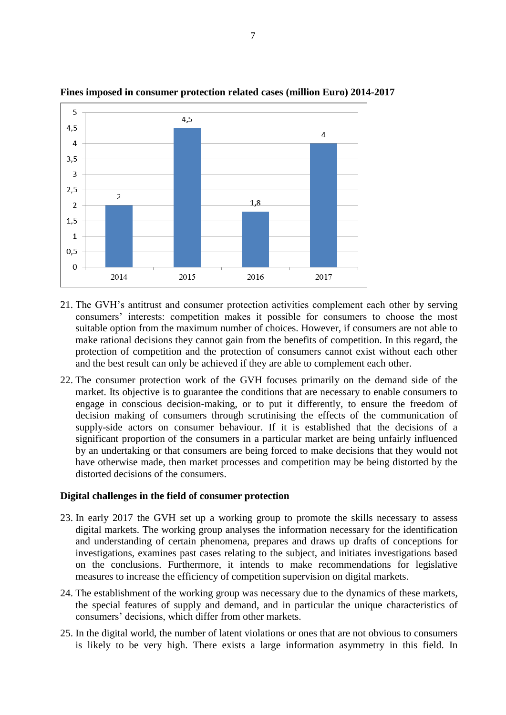

# **Fines imposed in consumer protection related cases (million Euro) 2014-2017**

- 21. The GVH's antitrust and consumer protection activities complement each other by serving consumers' interests: competition makes it possible for consumers to choose the most suitable option from the maximum number of choices. However, if consumers are not able to make rational decisions they cannot gain from the benefits of competition. In this regard, the protection of competition and the protection of consumers cannot exist without each other and the best result can only be achieved if they are able to complement each other.
- 22. The consumer protection work of the GVH focuses primarily on the demand side of the market. Its objective is to guarantee the conditions that are necessary to enable consumers to engage in conscious decision-making, or to put it differently, to ensure the freedom of decision making of consumers through scrutinising the effects of the communication of supply-side actors on consumer behaviour. If it is established that the decisions of a significant proportion of the consumers in a particular market are being unfairly influenced by an undertaking or that consumers are being forced to make decisions that they would not have otherwise made, then market processes and competition may be being distorted by the distorted decisions of the consumers.

## **Digital challenges in the field of consumer protection**

- 23. In early 2017 the GVH set up a working group to promote the skills necessary to assess digital markets. The working group analyses the information necessary for the identification and understanding of certain phenomena, prepares and draws up drafts of conceptions for investigations, examines past cases relating to the subject, and initiates investigations based on the conclusions. Furthermore, it intends to make recommendations for legislative measures to increase the efficiency of competition supervision on digital markets.
- 24. The establishment of the working group was necessary due to the dynamics of these markets, the special features of supply and demand, and in particular the unique characteristics of consumers' decisions, which differ from other markets.
- 25. In the digital world, the number of latent violations or ones that are not obvious to consumers is likely to be very high. There exists a large information asymmetry in this field. In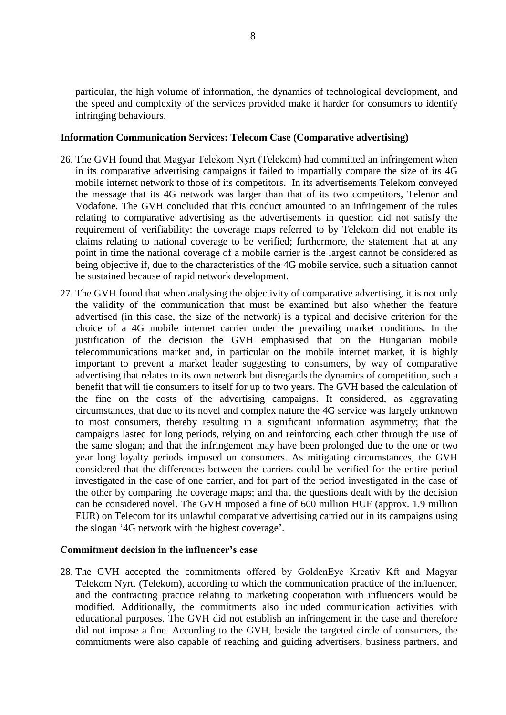particular, the high volume of information, the dynamics of technological development, and the speed and complexity of the services provided make it harder for consumers to identify infringing behaviours.

## **Information Communication Services: Telecom Case (Comparative advertising)**

- 26. The GVH found that Magyar Telekom Nyrt (Telekom) had committed an infringement when in its comparative advertising campaigns it failed to impartially compare the size of its 4G mobile internet network to those of its competitors. In its advertisements Telekom conveyed the message that its 4G network was larger than that of its two competitors, Telenor and Vodafone. The GVH concluded that this conduct amounted to an infringement of the rules relating to comparative advertising as the advertisements in question did not satisfy the requirement of verifiability: the coverage maps referred to by Telekom did not enable its claims relating to national coverage to be verified; furthermore, the statement that at any point in time the national coverage of a mobile carrier is the largest cannot be considered as being objective if, due to the characteristics of the 4G mobile service, such a situation cannot be sustained because of rapid network development.
- 27. The GVH found that when analysing the objectivity of comparative advertising, it is not only the validity of the communication that must be examined but also whether the feature advertised (in this case, the size of the network) is a typical and decisive criterion for the choice of a 4G mobile internet carrier under the prevailing market conditions. In the justification of the decision the GVH emphasised that on the Hungarian mobile telecommunications market and, in particular on the mobile internet market, it is highly important to prevent a market leader suggesting to consumers, by way of comparative advertising that relates to its own network but disregards the dynamics of competition, such a benefit that will tie consumers to itself for up to two years. The GVH based the calculation of the fine on the costs of the advertising campaigns. It considered, as aggravating circumstances, that due to its novel and complex nature the 4G service was largely unknown to most consumers, thereby resulting in a significant information asymmetry; that the campaigns lasted for long periods, relying on and reinforcing each other through the use of the same slogan; and that the infringement may have been prolonged due to the one or two year long loyalty periods imposed on consumers. As mitigating circumstances, the GVH considered that the differences between the carriers could be verified for the entire period investigated in the case of one carrier, and for part of the period investigated in the case of the other by comparing the coverage maps; and that the questions dealt with by the decision can be considered novel. The GVH imposed a fine of 600 million HUF (approx. 1.9 million EUR) on Telecom for its unlawful comparative advertising carried out in its campaigns using the slogan '4G network with the highest coverage'.

#### **Commitment decision in the influencer's case**

28. The GVH accepted the commitments offered by GoldenEye Kreatív Kft and Magyar Telekom Nyrt. (Telekom), according to which the communication practice of the influencer, and the contracting practice relating to marketing cooperation with influencers would be modified. Additionally, the commitments also included communication activities with educational purposes. The GVH did not establish an infringement in the case and therefore did not impose a fine. According to the GVH, beside the targeted circle of consumers, the commitments were also capable of reaching and guiding advertisers, business partners, and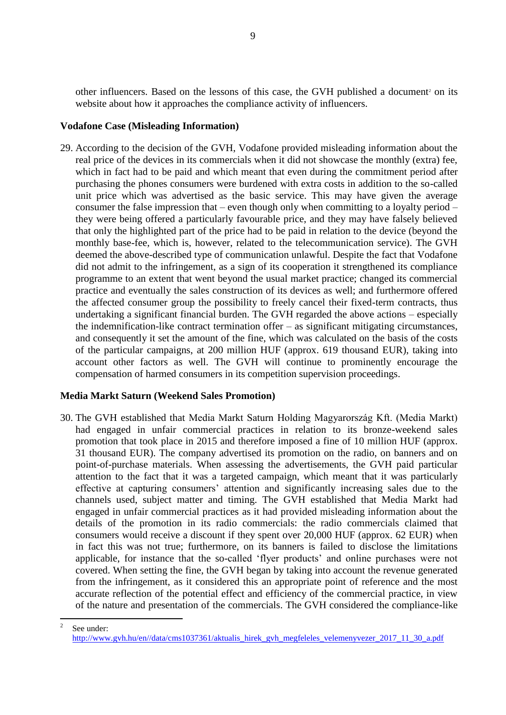other influencers. Based on the lessons of this case, the GVH published a document<sup>2</sup> on its website about how it approaches the compliance activity of influencers.

## **Vodafone Case (Misleading Information)**

29. According to the decision of the GVH, Vodafone provided misleading information about the real price of the devices in its commercials when it did not showcase the monthly (extra) fee, which in fact had to be paid and which meant that even during the commitment period after purchasing the phones consumers were burdened with extra costs in addition to the so-called unit price which was advertised as the basic service. This may have given the average consumer the false impression that – even though only when committing to a loyalty period – they were being offered a particularly favourable price, and they may have falsely believed that only the highlighted part of the price had to be paid in relation to the device (beyond the monthly base-fee, which is, however, related to the telecommunication service). The GVH deemed the above-described type of communication unlawful. Despite the fact that Vodafone did not admit to the infringement, as a sign of its cooperation it strengthened its compliance programme to an extent that went beyond the usual market practice; changed its commercial practice and eventually the sales construction of its devices as well; and furthermore offered the affected consumer group the possibility to freely cancel their fixed-term contracts, thus undertaking a significant financial burden. The GVH regarded the above actions – especially the indemnification-like contract termination offer – as significant mitigating circumstances, and consequently it set the amount of the fine, which was calculated on the basis of the costs of the particular campaigns, at 200 million HUF (approx. 619 thousand EUR), taking into account other factors as well. The GVH will continue to prominently encourage the compensation of harmed consumers in its competition supervision proceedings.

# **Media Markt Saturn (Weekend Sales Promotion)**

30. The GVH established that Media Markt Saturn Holding Magyarország Kft. (Media Markt) had engaged in unfair commercial practices in relation to its bronze-weekend sales promotion that took place in 2015 and therefore imposed a fine of 10 million HUF (approx. 31 thousand EUR). The company advertised its promotion on the radio, on banners and on point-of-purchase materials. When assessing the advertisements, the GVH paid particular attention to the fact that it was a targeted campaign, which meant that it was particularly effective at capturing consumers' attention and significantly increasing sales due to the channels used, subject matter and timing. The GVH established that Media Markt had engaged in unfair commercial practices as it had provided misleading information about the details of the promotion in its radio commercials: the radio commercials claimed that consumers would receive a discount if they spent over 20,000 HUF (approx. 62 EUR) when in fact this was not true; furthermore, on its banners is failed to disclose the limitations applicable, for instance that the so-called 'flyer products' and online purchases were not covered. When setting the fine, the GVH began by taking into account the revenue generated from the infringement, as it considered this an appropriate point of reference and the most accurate reflection of the potential effect and efficiency of the commercial practice, in view of the nature and presentation of the commercials. The GVH considered the compliance-like

 $\frac{1}{2}$ See under: [http://www.gvh.hu/en//data/cms1037361/aktualis\\_hirek\\_gvh\\_megfeleles\\_velemenyvezer\\_2017\\_11\\_30\\_a.pdf](http://www.gvh.hu/en/data/cms1037361/aktualis_hirek_gvh_megfeleles_velemenyvezer_2017_11_30_a.pdf)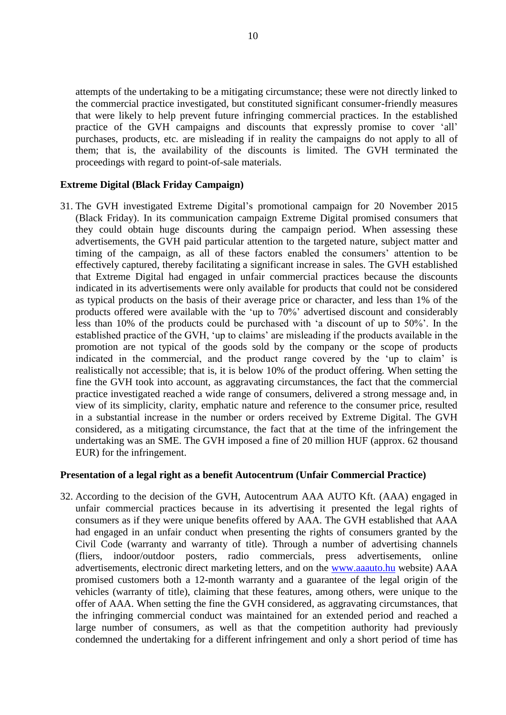attempts of the undertaking to be a mitigating circumstance; these were not directly linked to the commercial practice investigated, but constituted significant consumer-friendly measures that were likely to help prevent future infringing commercial practices. In the established practice of the GVH campaigns and discounts that expressly promise to cover 'all' purchases, products, etc. are misleading if in reality the campaigns do not apply to all of them; that is, the availability of the discounts is limited. The GVH terminated the proceedings with regard to point-of-sale materials.

## **Extreme Digital (Black Friday Campaign)**

31. The GVH investigated Extreme Digital's promotional campaign for 20 November 2015 (Black Friday). In its communication campaign Extreme Digital promised consumers that they could obtain huge discounts during the campaign period. When assessing these advertisements, the GVH paid particular attention to the targeted nature, subject matter and timing of the campaign, as all of these factors enabled the consumers' attention to be effectively captured, thereby facilitating a significant increase in sales. The GVH established that Extreme Digital had engaged in unfair commercial practices because the discounts indicated in its advertisements were only available for products that could not be considered as typical products on the basis of their average price or character, and less than 1% of the products offered were available with the 'up to 70%' advertised discount and considerably less than 10% of the products could be purchased with 'a discount of up to 50%'. In the established practice of the GVH, 'up to claims' are misleading if the products available in the promotion are not typical of the goods sold by the company or the scope of products indicated in the commercial, and the product range covered by the 'up to claim' is realistically not accessible; that is, it is below 10% of the product offering. When setting the fine the GVH took into account, as aggravating circumstances, the fact that the commercial practice investigated reached a wide range of consumers, delivered a strong message and, in view of its simplicity, clarity, emphatic nature and reference to the consumer price, resulted in a substantial increase in the number or orders received by Extreme Digital. The GVH considered, as a mitigating circumstance, the fact that at the time of the infringement the undertaking was an SME. The GVH imposed a fine of 20 million HUF (approx. 62 thousand EUR) for the infringement.

#### **Presentation of a legal right as a benefit Autocentrum (Unfair Commercial Practice)**

32. According to the decision of the GVH, Autocentrum AAA AUTO Kft. (AAA) engaged in unfair commercial practices because in its advertising it presented the legal rights of consumers as if they were unique benefits offered by AAA. The GVH established that AAA had engaged in an unfair conduct when presenting the rights of consumers granted by the Civil Code (warranty and warranty of title). Through a number of advertising channels (fliers, indoor/outdoor posters, radio commercials, press advertisements, online advertisements, electronic direct marketing letters, and on the [www.aaauto.hu](http://www.aaauto.hu/) website) AAA promised customers both a 12-month warranty and a guarantee of the legal origin of the vehicles (warranty of title), claiming that these features, among others, were unique to the offer of AAA. When setting the fine the GVH considered, as aggravating circumstances, that the infringing commercial conduct was maintained for an extended period and reached a large number of consumers, as well as that the competition authority had previously condemned the undertaking for a different infringement and only a short period of time has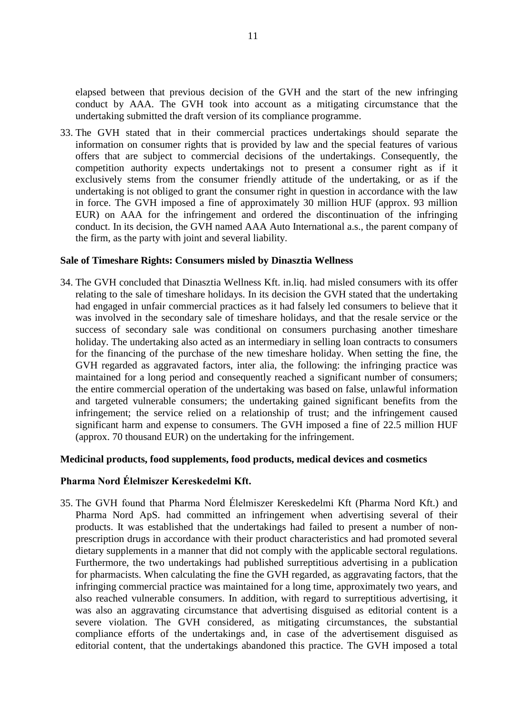elapsed between that previous decision of the GVH and the start of the new infringing conduct by AAA. The GVH took into account as a mitigating circumstance that the undertaking submitted the draft version of its compliance programme.

33. The GVH stated that in their commercial practices undertakings should separate the information on consumer rights that is provided by law and the special features of various offers that are subject to commercial decisions of the undertakings. Consequently, the competition authority expects undertakings not to present a consumer right as if it exclusively stems from the consumer friendly attitude of the undertaking, or as if the undertaking is not obliged to grant the consumer right in question in accordance with the law in force. The GVH imposed a fine of approximately 30 million HUF (approx. 93 million EUR) on AAA for the infringement and ordered the discontinuation of the infringing conduct. In its decision, the GVH named AAA Auto International a.s., the parent company of the firm, as the party with joint and several liability.

#### **Sale of Timeshare Rights: Consumers misled by Dinasztia Wellness**

34. The GVH concluded that Dinasztia Wellness Kft. in.liq. had misled consumers with its offer relating to the sale of timeshare holidays. In its decision the GVH stated that the undertaking had engaged in unfair commercial practices as it had falsely led consumers to believe that it was involved in the secondary sale of timeshare holidays, and that the resale service or the success of secondary sale was conditional on consumers purchasing another timeshare holiday. The undertaking also acted as an intermediary in selling loan contracts to consumers for the financing of the purchase of the new timeshare holiday. When setting the fine, the GVH regarded as aggravated factors, inter alia, the following: the infringing practice was maintained for a long period and consequently reached a significant number of consumers; the entire commercial operation of the undertaking was based on false, unlawful information and targeted vulnerable consumers; the undertaking gained significant benefits from the infringement; the service relied on a relationship of trust; and the infringement caused significant harm and expense to consumers. The GVH imposed a fine of 22.5 million HUF (approx. 70 thousand EUR) on the undertaking for the infringement.

#### **Medicinal products, food supplements, food products, medical devices and cosmetics**

# **Pharma Nord Élelmiszer Kereskedelmi Kft.**

35. The GVH found that Pharma Nord Élelmiszer Kereskedelmi Kft (Pharma Nord Kft.) and Pharma Nord ApS. had committed an infringement when advertising several of their products. It was established that the undertakings had failed to present a number of nonprescription drugs in accordance with their product characteristics and had promoted several dietary supplements in a manner that did not comply with the applicable sectoral regulations. Furthermore, the two undertakings had published surreptitious advertising in a publication for pharmacists. When calculating the fine the GVH regarded, as aggravating factors, that the infringing commercial practice was maintained for a long time, approximately two years, and also reached vulnerable consumers. In addition, with regard to surreptitious advertising, it was also an aggravating circumstance that advertising disguised as editorial content is a severe violation. The GVH considered, as mitigating circumstances, the substantial compliance efforts of the undertakings and, in case of the advertisement disguised as editorial content, that the undertakings abandoned this practice. The GVH imposed a total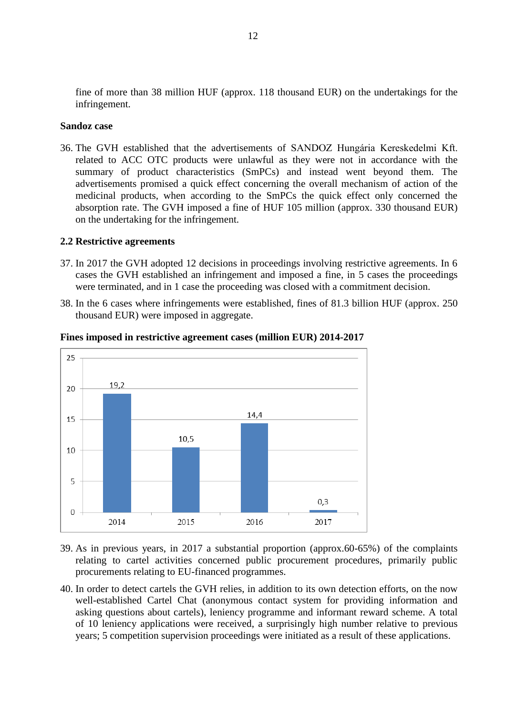fine of more than 38 million HUF (approx. 118 thousand EUR) on the undertakings for the infringement.

## **Sandoz case**

36. The GVH established that the advertisements of SANDOZ Hungária Kereskedelmi Kft. related to ACC OTC products were unlawful as they were not in accordance with the summary of product characteristics (SmPCs) and instead went beyond them. The advertisements promised a quick effect concerning the overall mechanism of action of the medicinal products, when according to the SmPCs the quick effect only concerned the absorption rate. The GVH imposed a fine of HUF 105 million (approx. 330 thousand EUR) on the undertaking for the infringement.

## <span id="page-11-0"></span>**2.2 Restrictive agreements**

- 37. In 2017 the GVH adopted 12 decisions in proceedings involving restrictive agreements. In 6 cases the GVH established an infringement and imposed a fine, in 5 cases the proceedings were terminated, and in 1 case the proceeding was closed with a commitment decision.
- 38. In the 6 cases where infringements were established, fines of 81.3 billion HUF (approx. 250 thousand EUR) were imposed in aggregate.



**Fines imposed in restrictive agreement cases (million EUR) 2014-2017**

- 39. As in previous years, in 2017 a substantial proportion (approx.60-65%) of the complaints relating to cartel activities concerned public procurement procedures, primarily public procurements relating to EU-financed programmes.
- 40. In order to detect cartels the GVH relies, in addition to its own detection efforts, on the now well-established Cartel Chat (anonymous contact system for providing information and asking questions about cartels), leniency programme and informant reward scheme. A total of 10 leniency applications were received, a surprisingly high number relative to previous years; 5 competition supervision proceedings were initiated as a result of these applications.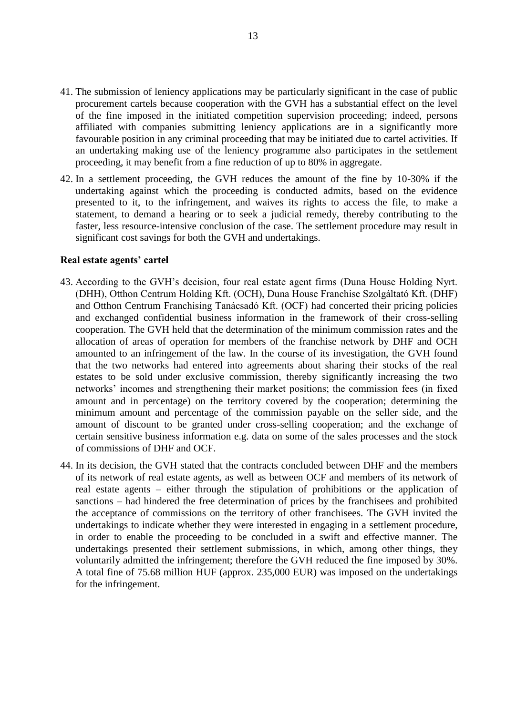- 41. The submission of leniency applications may be particularly significant in the case of public procurement cartels because cooperation with the GVH has a substantial effect on the level of the fine imposed in the initiated competition supervision proceeding; indeed, persons affiliated with companies submitting leniency applications are in a significantly more favourable position in any criminal proceeding that may be initiated due to cartel activities. If an undertaking making use of the leniency programme also participates in the settlement proceeding, it may benefit from a fine reduction of up to 80% in aggregate.
- 42. In a settlement proceeding, the GVH reduces the amount of the fine by 10-30% if the undertaking against which the proceeding is conducted admits, based on the evidence presented to it, to the infringement, and waives its rights to access the file, to make a statement, to demand a hearing or to seek a judicial remedy, thereby contributing to the faster, less resource-intensive conclusion of the case. The settlement procedure may result in significant cost savings for both the GVH and undertakings.

#### **Real estate agents' cartel**

- 43. According to the GVH's decision, four real estate agent firms (Duna House Holding Nyrt. (DHH), Otthon Centrum Holding Kft. (OCH), Duna House Franchise Szolgáltató Kft. (DHF) and Otthon Centrum Franchising Tanácsadó Kft. (OCF) had concerted their pricing policies and exchanged confidential business information in the framework of their cross-selling cooperation. The GVH held that the determination of the minimum commission rates and the allocation of areas of operation for members of the franchise network by DHF and OCH amounted to an infringement of the law. In the course of its investigation, the GVH found that the two networks had entered into agreements about sharing their stocks of the real estates to be sold under exclusive commission, thereby significantly increasing the two networks' incomes and strengthening their market positions; the commission fees (in fixed amount and in percentage) on the territory covered by the cooperation; determining the minimum amount and percentage of the commission payable on the seller side, and the amount of discount to be granted under cross-selling cooperation; and the exchange of certain sensitive business information e.g. data on some of the sales processes and the stock of commissions of DHF and OCF.
- 44. In its decision, the GVH stated that the contracts concluded between DHF and the members of its network of real estate agents, as well as between OCF and members of its network of real estate agents – either through the stipulation of prohibitions or the application of sanctions – had hindered the free determination of prices by the franchisees and prohibited the acceptance of commissions on the territory of other franchisees. The GVH invited the undertakings to indicate whether they were interested in engaging in a settlement procedure, in order to enable the proceeding to be concluded in a swift and effective manner. The undertakings presented their settlement submissions, in which, among other things, they voluntarily admitted the infringement; therefore the GVH reduced the fine imposed by 30%. A total fine of 75.68 million HUF (approx. 235,000 EUR) was imposed on the undertakings for the infringement.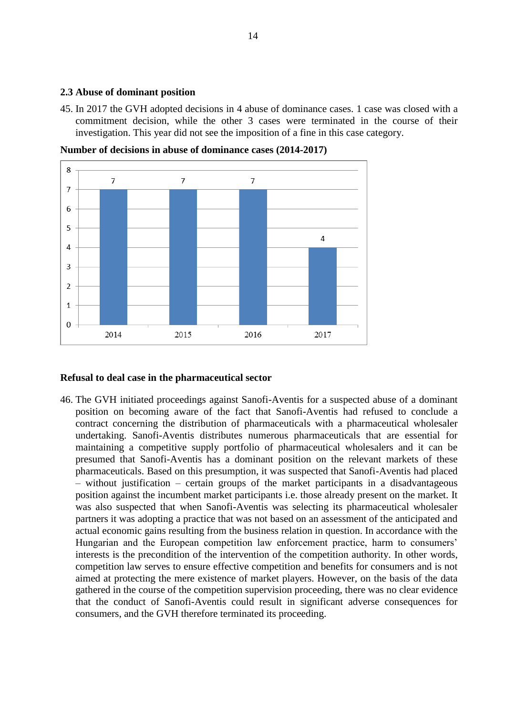## <span id="page-13-0"></span>**2.3 Abuse of dominant position**

45. In 2017 the GVH adopted decisions in 4 abuse of dominance cases. 1 case was closed with a commitment decision, while the other 3 cases were terminated in the course of their investigation. This year did not see the imposition of a fine in this case category.

**Number of decisions in abuse of dominance cases (2014-2017)**



## **Refusal to deal case in the pharmaceutical sector**

46. The GVH initiated proceedings against Sanofi-Aventis for a suspected abuse of a dominant position on becoming aware of the fact that Sanofi-Aventis had refused to conclude a contract concerning the distribution of pharmaceuticals with a pharmaceutical wholesaler undertaking. Sanofi-Aventis distributes numerous pharmaceuticals that are essential for maintaining a competitive supply portfolio of pharmaceutical wholesalers and it can be presumed that Sanofi-Aventis has a dominant position on the relevant markets of these pharmaceuticals. Based on this presumption, it was suspected that Sanofi-Aventis had placed – without justification – certain groups of the market participants in a disadvantageous position against the incumbent market participants i.e. those already present on the market. It was also suspected that when Sanofi-Aventis was selecting its pharmaceutical wholesaler partners it was adopting a practice that was not based on an assessment of the anticipated and actual economic gains resulting from the business relation in question. In accordance with the Hungarian and the European competition law enforcement practice, harm to consumers' interests is the precondition of the intervention of the competition authority. In other words, competition law serves to ensure effective competition and benefits for consumers and is not aimed at protecting the mere existence of market players. However, on the basis of the data gathered in the course of the competition supervision proceeding, there was no clear evidence that the conduct of Sanofi-Aventis could result in significant adverse consequences for consumers, and the GVH therefore terminated its proceeding.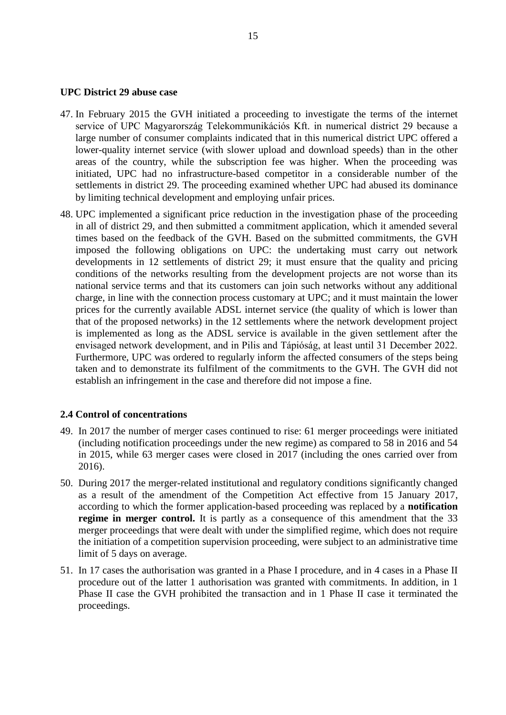#### **UPC District 29 abuse case**

- 47. In February 2015 the GVH initiated a proceeding to investigate the terms of the internet service of UPC Magyarország Telekommunikációs Kft. in numerical district 29 because a large number of consumer complaints indicated that in this numerical district UPC offered a lower-quality internet service (with slower upload and download speeds) than in the other areas of the country, while the subscription fee was higher. When the proceeding was initiated, UPC had no infrastructure-based competitor in a considerable number of the settlements in district 29. The proceeding examined whether UPC had abused its dominance by limiting technical development and employing unfair prices.
- 48. UPC implemented a significant price reduction in the investigation phase of the proceeding in all of district 29, and then submitted a commitment application, which it amended several times based on the feedback of the GVH. Based on the submitted commitments, the GVH imposed the following obligations on UPC: the undertaking must carry out network developments in 12 settlements of district 29; it must ensure that the quality and pricing conditions of the networks resulting from the development projects are not worse than its national service terms and that its customers can join such networks without any additional charge, in line with the connection process customary at UPC; and it must maintain the lower prices for the currently available ADSL internet service (the quality of which is lower than that of the proposed networks) in the 12 settlements where the network development project is implemented as long as the ADSL service is available in the given settlement after the envisaged network development, and in Pilis and Tápióság, at least until 31 December 2022. Furthermore, UPC was ordered to regularly inform the affected consumers of the steps being taken and to demonstrate its fulfilment of the commitments to the GVH. The GVH did not establish an infringement in the case and therefore did not impose a fine.

#### <span id="page-14-0"></span>**2.4 Control of concentrations**

- 49. In 2017 the number of merger cases continued to rise: 61 merger proceedings were initiated (including notification proceedings under the new regime) as compared to 58 in 2016 and 54 in 2015, while 63 merger cases were closed in 2017 (including the ones carried over from 2016).
- 50. During 2017 the merger-related institutional and regulatory conditions significantly changed as a result of the amendment of the Competition Act effective from 15 January 2017, according to which the former application-based proceeding was replaced by a **notification regime in merger control.** It is partly as a consequence of this amendment that the 33 merger proceedings that were dealt with under the simplified regime, which does not require the initiation of a competition supervision proceeding, were subject to an administrative time limit of 5 days on average.
- 51. In 17 cases the authorisation was granted in a Phase I procedure, and in 4 cases in a Phase II procedure out of the latter 1 authorisation was granted with commitments. In addition, in 1 Phase II case the GVH prohibited the transaction and in 1 Phase II case it terminated the proceedings.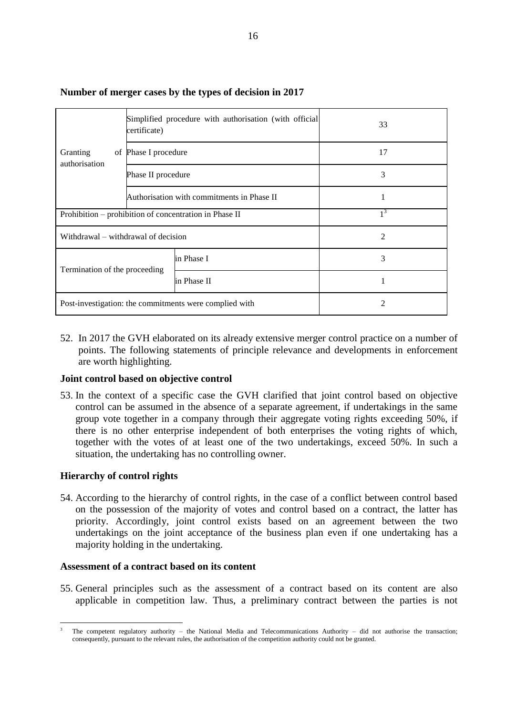|                                                        | certificate)                               | Simplified procedure with authorisation (with official | 33 |
|--------------------------------------------------------|--------------------------------------------|--------------------------------------------------------|----|
| Granting<br>authorisation                              | of Phase I procedure                       |                                                        | 17 |
|                                                        | Phase II procedure                         |                                                        | 3  |
|                                                        | Authorisation with commitments in Phase II |                                                        |    |
| Prohibition – prohibition of concentration in Phase II |                                            | $1^3$                                                  |    |
| Withdrawal – withdrawal of decision                    |                                            | 2                                                      |    |
| Termination of the proceeding                          |                                            | in Phase I                                             | 3  |
|                                                        |                                            | in Phase II                                            | 1  |
| Post-investigation: the commitments were complied with |                                            | 2                                                      |    |

## **Number of merger cases by the types of decision in 2017**

52. In 2017 the GVH elaborated on its already extensive merger control practice on a number of points. The following statements of principle relevance and developments in enforcement are worth highlighting.

#### **Joint control based on objective control**

53. In the context of a specific case the GVH clarified that joint control based on objective control can be assumed in the absence of a separate agreement, if undertakings in the same group vote together in a company through their aggregate voting rights exceeding 50%, if there is no other enterprise independent of both enterprises the voting rights of which, together with the votes of at least one of the two undertakings, exceed 50%. In such a situation, the undertaking has no controlling owner.

## **Hierarchy of control rights**

 $\overline{a}$ 

54. According to the hierarchy of control rights, in the case of a conflict between control based on the possession of the majority of votes and control based on a contract, the latter has priority. Accordingly, joint control exists based on an agreement between the two undertakings on the joint acceptance of the business plan even if one undertaking has a majority holding in the undertaking.

#### **Assessment of a contract based on its content**

55. General principles such as the assessment of a contract based on its content are also applicable in competition law. Thus, a preliminary contract between the parties is not

<sup>3</sup> The competent regulatory authority – the National Media and Telecommunications Authority – did not authorise the transaction; consequently, pursuant to the relevant rules, the authorisation of the competition authority could not be granted.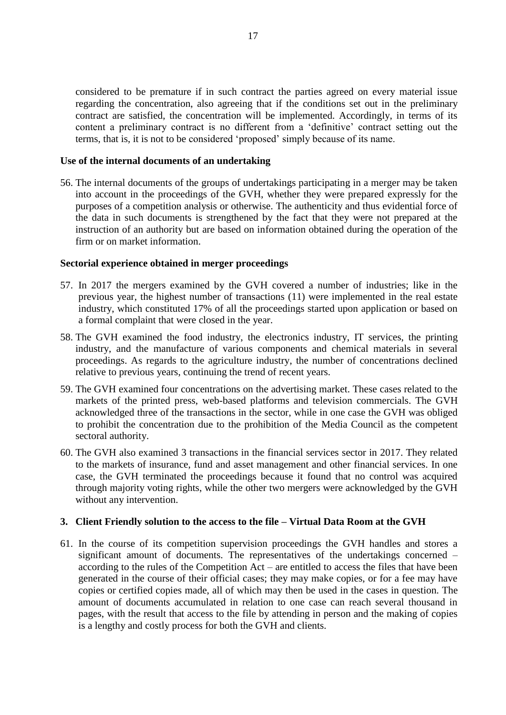considered to be premature if in such contract the parties agreed on every material issue regarding the concentration, also agreeing that if the conditions set out in the preliminary contract are satisfied, the concentration will be implemented. Accordingly, in terms of its content a preliminary contract is no different from a 'definitive' contract setting out the terms, that is, it is not to be considered 'proposed' simply because of its name.

## **Use of the internal documents of an undertaking**

56. The internal documents of the groups of undertakings participating in a merger may be taken into account in the proceedings of the GVH, whether they were prepared expressly for the purposes of a competition analysis or otherwise. The authenticity and thus evidential force of the data in such documents is strengthened by the fact that they were not prepared at the instruction of an authority but are based on information obtained during the operation of the firm or on market information.

## **Sectorial experience obtained in merger proceedings**

- 57. In 2017 the mergers examined by the GVH covered a number of industries; like in the previous year, the highest number of transactions (11) were implemented in the real estate industry, which constituted 17% of all the proceedings started upon application or based on a formal complaint that were closed in the year.
- 58. The GVH examined the food industry, the electronics industry, IT services, the printing industry, and the manufacture of various components and chemical materials in several proceedings. As regards to the agriculture industry, the number of concentrations declined relative to previous years, continuing the trend of recent years.
- 59. The GVH examined four concentrations on the advertising market. These cases related to the markets of the printed press, web-based platforms and television commercials. The GVH acknowledged three of the transactions in the sector, while in one case the GVH was obliged to prohibit the concentration due to the prohibition of the Media Council as the competent sectoral authority.
- 60. The GVH also examined 3 transactions in the financial services sector in 2017. They related to the markets of insurance, fund and asset management and other financial services. In one case, the GVH terminated the proceedings because it found that no control was acquired through majority voting rights, while the other two mergers were acknowledged by the GVH without any intervention.

## <span id="page-16-0"></span>**3. Client Friendly solution to the access to the file – Virtual Data Room at the GVH**

61. In the course of its competition supervision proceedings the GVH handles and stores a significant amount of documents. The representatives of the undertakings concerned – according to the rules of the Competition Act – are entitled to access the files that have been generated in the course of their official cases; they may make copies, or for a fee may have copies or certified copies made, all of which may then be used in the cases in question. The amount of documents accumulated in relation to one case can reach several thousand in pages, with the result that access to the file by attending in person and the making of copies is a lengthy and costly process for both the GVH and clients.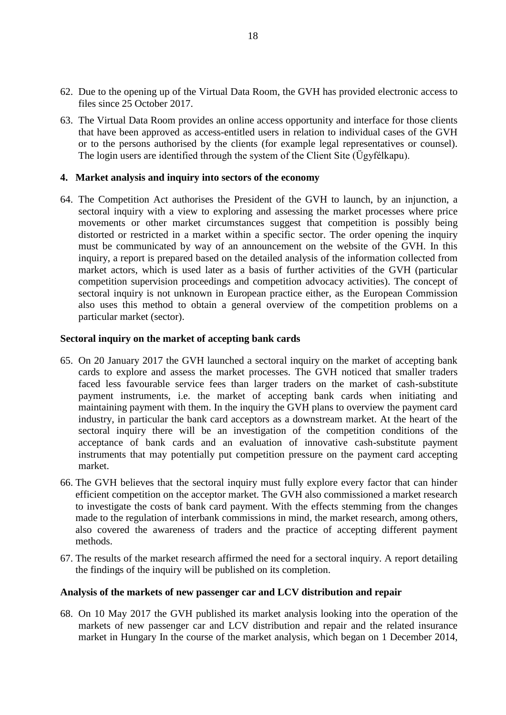- 62. Due to the opening up of the Virtual Data Room, the GVH has provided electronic access to files since 25 October 2017.
- 63. The Virtual Data Room provides an online access opportunity and interface for those clients that have been approved as access-entitled users in relation to individual cases of the GVH or to the persons authorised by the clients (for example legal representatives or counsel). The login users are identified through the system of the Client Site (Ügyfélkapu).

## <span id="page-17-0"></span>**4. Market analysis and inquiry into sectors of the economy**

64. The Competition Act authorises the President of the GVH to launch, by an injunction, a sectoral inquiry with a view to exploring and assessing the market processes where price movements or other market circumstances suggest that competition is possibly being distorted or restricted in a market within a specific sector. The order opening the inquiry must be communicated by way of an announcement on the website of the GVH. In this inquiry, a report is prepared based on the detailed analysis of the information collected from market actors, which is used later as a basis of further activities of the GVH (particular competition supervision proceedings and competition advocacy activities). The concept of sectoral inquiry is not unknown in European practice either, as the European Commission also uses this method to obtain a general overview of the competition problems on a particular market (sector).

## **Sectoral inquiry on the market of accepting bank cards**

- 65. On 20 January 2017 the GVH launched a sectoral inquiry on the market of accepting bank cards to explore and assess the market processes. The GVH noticed that smaller traders faced less favourable service fees than larger traders on the market of cash-substitute payment instruments, i.e. the market of accepting bank cards when initiating and maintaining payment with them. In the inquiry the GVH plans to overview the payment card industry, in particular the bank card acceptors as a downstream market. At the heart of the sectoral inquiry there will be an investigation of the competition conditions of the acceptance of bank cards and an evaluation of innovative cash-substitute payment instruments that may potentially put competition pressure on the payment card accepting market.
- 66. The GVH believes that the sectoral inquiry must fully explore every factor that can hinder efficient competition on the acceptor market. The GVH also commissioned a market research to investigate the costs of bank card payment. With the effects stemming from the changes made to the regulation of interbank commissions in mind, the market research, among others, also covered the awareness of traders and the practice of accepting different payment methods.
- 67. The results of the market research affirmed the need for a sectoral inquiry. A report detailing the findings of the inquiry will be published on its completion.

# **Analysis of the markets of new passenger car and LCV distribution and repair**

68. On 10 May 2017 the GVH published its market analysis looking into the operation of the markets of new passenger car and LCV distribution and repair and the related insurance market in Hungary In the course of the market analysis, which began on 1 December 2014,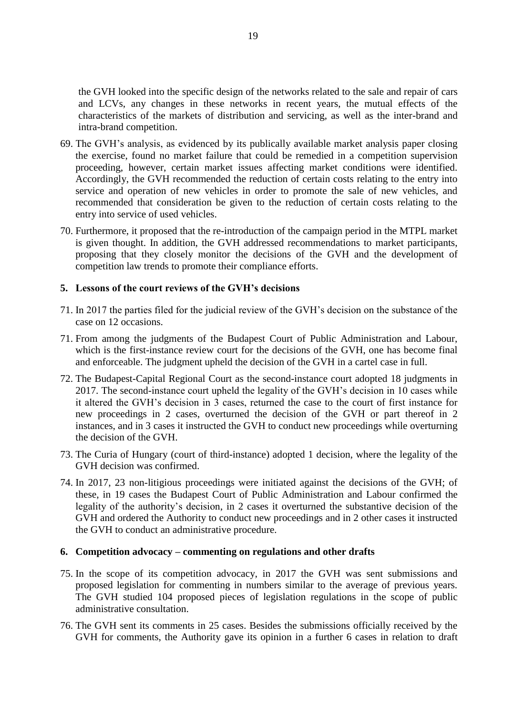the GVH looked into the specific design of the networks related to the sale and repair of cars and LCVs, any changes in these networks in recent years, the mutual effects of the characteristics of the markets of distribution and servicing, as well as the inter-brand and intra-brand competition.

- 69. The GVH's analysis, as evidenced by its publically available market analysis paper closing the exercise, found no market failure that could be remedied in a competition supervision proceeding, however, certain market issues affecting market conditions were identified. Accordingly, the GVH recommended the reduction of certain costs relating to the entry into service and operation of new vehicles in order to promote the sale of new vehicles, and recommended that consideration be given to the reduction of certain costs relating to the entry into service of used vehicles.
- 70. Furthermore, it proposed that the re-introduction of the campaign period in the MTPL market is given thought. In addition, the GVH addressed recommendations to market participants, proposing that they closely monitor the decisions of the GVH and the development of competition law trends to promote their compliance efforts.

## <span id="page-18-0"></span>**5. Lessons of the court reviews of the GVH's decisions**

- 71. In 2017 the parties filed for the judicial review of the GVH's decision on the substance of the case on 12 occasions.
- 71. From among the judgments of the Budapest Court of Public Administration and Labour, which is the first-instance review court for the decisions of the GVH, one has become final and enforceable. The judgment upheld the decision of the GVH in a cartel case in full.
- 72. The Budapest-Capital Regional Court as the second-instance court adopted 18 judgments in 2017. The second-instance court upheld the legality of the GVH's decision in 10 cases while it altered the GVH's decision in 3 cases, returned the case to the court of first instance for new proceedings in 2 cases, overturned the decision of the GVH or part thereof in 2 instances, and in 3 cases it instructed the GVH to conduct new proceedings while overturning the decision of the GVH.
- 73. The Curia of Hungary (court of third-instance) adopted 1 decision, where the legality of the GVH decision was confirmed.
- 74. In 2017, 23 non-litigious proceedings were initiated against the decisions of the GVH; of these, in 19 cases the Budapest Court of Public Administration and Labour confirmed the legality of the authority's decision, in 2 cases it overturned the substantive decision of the GVH and ordered the Authority to conduct new proceedings and in 2 other cases it instructed the GVH to conduct an administrative procedure.

#### <span id="page-18-1"></span>**6. Competition advocacy – commenting on regulations and other drafts**

- 75. In the scope of its competition advocacy, in 2017 the GVH was sent submissions and proposed legislation for commenting in numbers similar to the average of previous years. The GVH studied 104 proposed pieces of legislation regulations in the scope of public administrative consultation.
- 76. The GVH sent its comments in 25 cases. Besides the submissions officially received by the GVH for comments, the Authority gave its opinion in a further 6 cases in relation to draft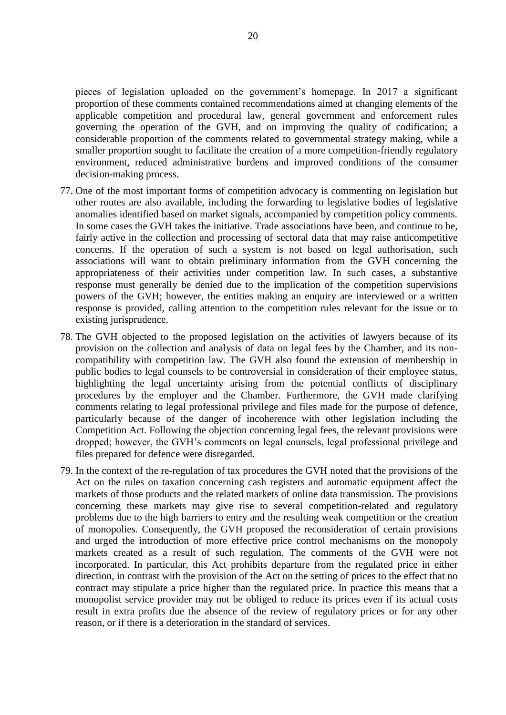pieces of legislation uploaded on the government's homepage. In 2017 a significant proportion of these comments contained recommendations aimed at changing elements of the applicable competition and procedural law, general government and enforcement rules governing the operation of the GVH, and on improving the quality of codification; a considerable proportion of the comments related to governmental strategy making, while a smaller proportion sought to facilitate the creation of a more competition-friendly regulatory environment, reduced administrative burdens and improved conditions of the consumer decision-making process.

- 77. One of the most important forms of competition advocacy is commenting on legislation but other routes are also available, including the forwarding to legislative bodies of legislative anomalies identified based on market signals, accompanied by competition policy comments. In some cases the GVH takes the initiative. Trade associations have been, and continue to be, fairly active in the collection and processing of sectoral data that may raise anticompetitive concerns. If the operation of such a system is not based on legal authorisation, such associations will want to obtain preliminary information from the GVH concerning the appropriateness of their activities under competition law. In such cases, a substantive response must generally be denied due to the implication of the competition supervisions powers of the GVH; however, the entities making an enquiry are interviewed or a written response is provided, calling attention to the competition rules relevant for the issue or to existing jurisprudence.
- 78. The GVH objected to the proposed legislation on the activities of lawyers because of its provision on the collection and analysis of data on legal fees by the Chamber, and its noncompatibility with competition law. The GVH also found the extension of membership in public bodies to legal counsels to be controversial in consideration of their employee status, highlighting the legal uncertainty arising from the potential conflicts of disciplinary procedures by the employer and the Chamber. Furthermore, the GVH made clarifying comments relating to legal professional privilege and files made for the purpose of defence, particularly because of the danger of incoherence with other legislation including the Competition Act. Following the objection concerning legal fees, the relevant provisions were dropped; however, the GVH's comments on legal counsels, legal professional privilege and files prepared for defence were disregarded.
- 79. In the context of the re-regulation of tax procedures the GVH noted that the provisions of the Act on the rules on taxation concerning cash registers and automatic equipment affect the markets of those products and the related markets of online data transmission. The provisions concerning these markets may give rise to several competition-related and regulatory problems due to the high barriers to entry and the resulting weak competition or the creation of monopolies. Consequently, the GVH proposed the reconsideration of certain provisions and urged the introduction of more effective price control mechanisms on the monopoly markets created as a result of such regulation. The comments of the GVH were not incorporated. In particular, this Act prohibits departure from the regulated price in either direction, in contrast with the provision of the Act on the setting of prices to the effect that no contract may stipulate a price higher than the regulated price. In practice this means that a monopolist service provider may not be obliged to reduce its prices even if its actual costs result in extra profits due the absence of the review of regulatory prices or for any other reason, or if there is a deterioration in the standard of services.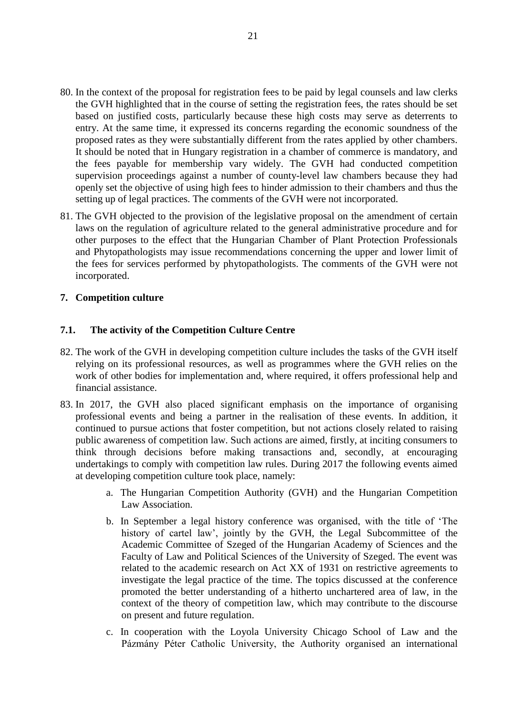- 80. In the context of the proposal for registration fees to be paid by legal counsels and law clerks the GVH highlighted that in the course of setting the registration fees, the rates should be set based on justified costs, particularly because these high costs may serve as deterrents to entry. At the same time, it expressed its concerns regarding the economic soundness of the proposed rates as they were substantially different from the rates applied by other chambers. It should be noted that in Hungary registration in a chamber of commerce is mandatory, and the fees payable for membership vary widely. The GVH had conducted competition supervision proceedings against a number of county-level law chambers because they had openly set the objective of using high fees to hinder admission to their chambers and thus the setting up of legal practices. The comments of the GVH were not incorporated.
- 81. The GVH objected to the provision of the legislative proposal on the amendment of certain laws on the regulation of agriculture related to the general administrative procedure and for other purposes to the effect that the Hungarian Chamber of Plant Protection Professionals and Phytopathologists may issue recommendations concerning the upper and lower limit of the fees for services performed by phytopathologists. The comments of the GVH were not incorporated.

# <span id="page-20-0"></span>**7. Competition culture**

## <span id="page-20-1"></span>**7.1. The activity of the Competition Culture Centre**

- 82. The work of the GVH in developing competition culture includes the tasks of the GVH itself relying on its professional resources, as well as programmes where the GVH relies on the work of other bodies for implementation and, where required, it offers professional help and financial assistance.
- 83. In 2017, the GVH also placed significant emphasis on the importance of organising professional events and being a partner in the realisation of these events. In addition, it continued to pursue actions that foster competition, but not actions closely related to raising public awareness of competition law. Such actions are aimed, firstly, at inciting consumers to think through decisions before making transactions and, secondly, at encouraging undertakings to comply with competition law rules. During 2017 the following events aimed at developing competition culture took place, namely:
	- a. The Hungarian Competition Authority (GVH) and the Hungarian Competition Law Association.
	- b. In September a legal history conference was organised, with the title of 'The history of cartel law', jointly by the GVH, the Legal Subcommittee of the Academic Committee of Szeged of the Hungarian Academy of Sciences and the Faculty of Law and Political Sciences of the University of Szeged. The event was related to the academic research on Act XX of 1931 on restrictive agreements to investigate the legal practice of the time. The topics discussed at the conference promoted the better understanding of a hitherto unchartered area of law, in the context of the theory of competition law, which may contribute to the discourse on present and future regulation.
	- c. In cooperation with the Loyola University Chicago School of Law and the Pázmány Péter Catholic University, the Authority organised an international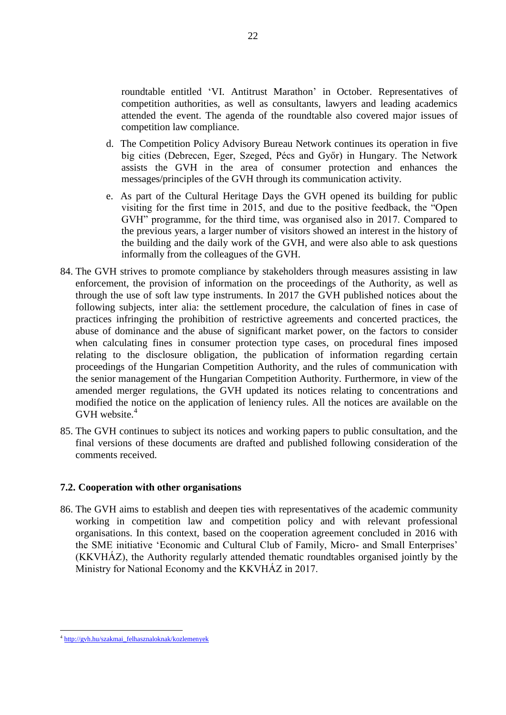roundtable entitled 'VI. Antitrust Marathon' in October. Representatives of competition authorities, as well as consultants, lawyers and leading academics attended the event. The agenda of the roundtable also covered major issues of competition law compliance.

- d. The Competition Policy Advisory Bureau Network continues its operation in five big cities (Debrecen, Eger, Szeged, Pécs and Győr) in Hungary. The Network assists the GVH in the area of consumer protection and enhances the messages/principles of the GVH through its communication activity.
- e. As part of the Cultural Heritage Days the GVH opened its building for public visiting for the first time in 2015, and due to the positive feedback, the "Open GVH" programme, for the third time, was organised also in 2017. Compared to the previous years, a larger number of visitors showed an interest in the history of the building and the daily work of the GVH, and were also able to ask questions informally from the colleagues of the GVH.
- 84. The GVH strives to promote compliance by stakeholders through measures assisting in law enforcement, the provision of information on the proceedings of the Authority, as well as through the use of soft law type instruments. In 2017 the GVH published notices about the following subjects, inter alia: [the settlement procedure,](http://gvh.hu/data/cms1037536/10_2017_Egyezsegi_eljaras_kozlemeny.pdf) [the calculation of fines in case of](http://gvh.hu/data/cms1037537/11_2017_Antitroszt_birsagkozlemeny.pdf)  [practices infringing the prohibition of restrictive agreements and concerted practices, the](http://gvh.hu/data/cms1037537/11_2017_Antitroszt_birsagkozlemeny.pdf)  [abuse of dominance and the abuse of significant market power,](http://gvh.hu/data/cms1037537/11_2017_Antitroszt_birsagkozlemeny.pdf) [on the factors to consider](http://gvh.hu/data/cms1037538/12_2017_Fogyasztos_birsagkozlemeny.pdf)  [when calculating fines in consumer protection type cases,](http://gvh.hu/data/cms1037538/12_2017_Fogyasztos_birsagkozlemeny.pdf) [on procedural fines imposed](http://gvh.hu/data/cms1037539/13_2017_eljarasi_birsag_kozlemeny.pdf)  [relating to the disclosure obligation,](http://gvh.hu/data/cms1037539/13_2017_eljarasi_birsag_kozlemeny.pdf) [the publication of information regarding certain](http://gvh.hu/data/cms1037517/2017_15_kapcsolattartasi_kozlemeny_vegl_171220.pdf)  [proceedings of the Hungarian Competition Authority, and the rules of communication with](http://gvh.hu/data/cms1037517/2017_15_kapcsolattartasi_kozlemeny_vegl_171220.pdf)  [the senior management of the Hungarian Competition Authority.](http://gvh.hu/data/cms1037517/2017_15_kapcsolattartasi_kozlemeny_vegl_171220.pdf) Furthermore, in view of the amended merger regulations, the GVH updated its notices relating to concentrations and modified the notice on the application of leniency rules. All the notices are available on the GVH website. $4$
- 85. The GVH continues to subject its notices and working papers to public consultation, and the final versions of these documents are drafted and published following consideration of the comments received.

## <span id="page-21-0"></span>**7.2. Cooperation with other organisations**

86. The GVH aims to establish and deepen ties with representatives of the academic community working in competition law and competition policy and with relevant professional organisations. In this context, based on the cooperation agreement concluded in 2016 with the SME initiative 'Economic and Cultural Club of Family, Micro- and Small Enterprises' (KKVHÁZ), the Authority regularly attended thematic roundtables organised jointly by the Ministry for National Economy and the KKVHÁZ in 2017.

 $\overline{a}$ <sup>4</sup> [http://gvh.hu/szakmai\\_felhasznaloknak/kozlemenyek](http://gvh.hu/szakmai_felhasznaloknak/kozlemenyek)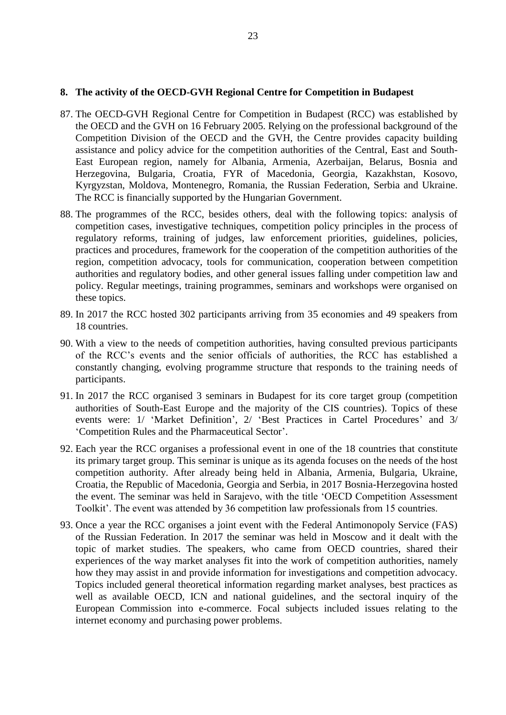#### <span id="page-22-0"></span>**8. The activity of the OECD-GVH Regional Centre for Competition in Budapest**

- 87. The OECD-GVH Regional Centre for Competition in Budapest (RCC) was established by the OECD and the GVH on 16 February 2005. Relying on the professional background of the Competition Division of the OECD and the GVH, the Centre provides capacity building assistance and policy advice for the competition authorities of the Central, East and South-East European region, namely for Albania, Armenia, Azerbaijan, Belarus, Bosnia and Herzegovina, Bulgaria, Croatia, FYR of Macedonia, Georgia, Kazakhstan, Kosovo, Kyrgyzstan, Moldova, Montenegro, Romania, the Russian Federation, Serbia and Ukraine. The RCC is financially supported by the Hungarian Government.
- 88. The programmes of the RCC, besides others, deal with the following topics: analysis of competition cases, investigative techniques, competition policy principles in the process of regulatory reforms, training of judges, law enforcement priorities, guidelines, policies, practices and procedures, framework for the cooperation of the competition authorities of the region, competition advocacy, tools for communication, cooperation between competition authorities and regulatory bodies, and other general issues falling under competition law and policy. Regular meetings, training programmes, seminars and workshops were organised on these topics.
- 89. In 2017 the RCC hosted 302 participants arriving from 35 economies and 49 speakers from 18 countries.
- 90. With a view to the needs of competition authorities, having consulted previous participants of the RCC's events and the senior officials of authorities, the RCC has established a constantly changing, evolving programme structure that responds to the training needs of participants.
- 91. In 2017 the RCC organised 3 seminars in Budapest for its core target group (competition authorities of South-East Europe and the majority of the CIS countries). Topics of these events were: 1/ 'Market Definition', 2/ 'Best Practices in Cartel Procedures' and 3/ 'Competition Rules and the Pharmaceutical Sector'.
- 92. Each year the RCC organises a professional event in one of the 18 countries that constitute its primary target group. This seminar is unique as its agenda focuses on the needs of the host competition authority. After already being held in Albania, Armenia, Bulgaria, Ukraine, Croatia, the Republic of Macedonia, Georgia and Serbia, in 2017 Bosnia-Herzegovina hosted the event. The seminar was held in Sarajevo, with the title 'OECD Competition Assessment Toolkit'. The event was attended by 36 competition law professionals from 15 countries.
- 93. Once a year the RCC organises a joint event with the Federal Antimonopoly Service (FAS) of the Russian Federation. In 2017 the seminar was held in Moscow and it dealt with the topic of market studies. The speakers, who came from OECD countries, shared their experiences of the way market analyses fit into the work of competition authorities, namely how they may assist in and provide information for investigations and competition advocacy. Topics included general theoretical information regarding market analyses, best practices as well as available OECD, ICN and national guidelines, and the sectoral inquiry of the European Commission into e-commerce. Focal subjects included issues relating to the internet economy and purchasing power problems.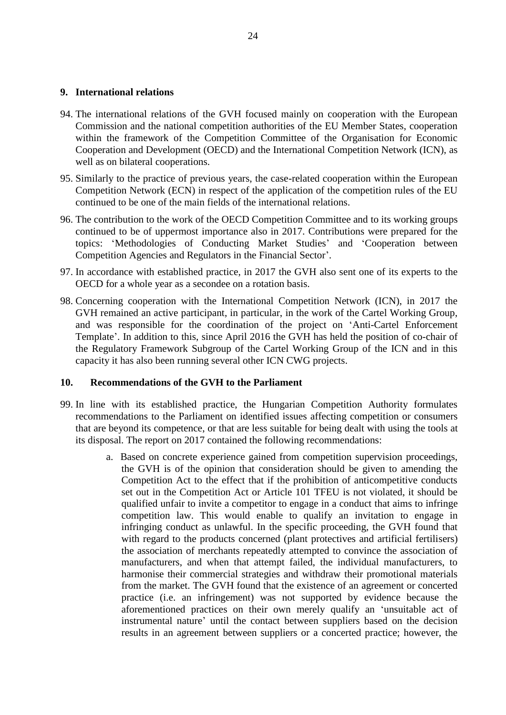#### <span id="page-23-0"></span>**9. International relations**

- 94. The international relations of the GVH focused mainly on cooperation with the European Commission and the national competition authorities of the EU Member States, cooperation within the framework of the Competition Committee of the Organisation for Economic Cooperation and Development (OECD) and the International Competition Network (ICN), as well as on bilateral cooperations.
- 95. Similarly to the practice of previous years, the case-related cooperation within the European Competition Network (ECN) in respect of the application of the competition rules of the EU continued to be one of the main fields of the international relations.
- 96. The contribution to the work of the OECD Competition Committee and to its working groups continued to be of uppermost importance also in 2017. Contributions were prepared for the topics: 'Methodologies of Conducting Market Studies' and 'Cooperation between Competition Agencies and Regulators in the Financial Sector'.
- 97. In accordance with established practice, in 2017 the GVH also sent one of its experts to the OECD for a whole year as a secondee on a rotation basis.
- 98. Concerning cooperation with the International Competition Network (ICN), in 2017 the GVH remained an active participant, in particular, in the work of the Cartel Working Group, and was responsible for the coordination of the project on 'Anti-Cartel Enforcement Template'. In addition to this, since April 2016 the GVH has held the position of co-chair of the Regulatory Framework Subgroup of the Cartel Working Group of the ICN and in this capacity it has also been running several other ICN CWG projects.

## <span id="page-23-1"></span>**10. Recommendations of the GVH to the Parliament**

- 99. In line with its established practice, the Hungarian Competition Authority formulates recommendations to the Parliament on identified issues affecting competition or consumers that are beyond its competence, or that are less suitable for being dealt with using the tools at its disposal. The report on 2017 contained the following recommendations:
	- a. Based on concrete experience gained from competition supervision proceedings, the GVH is of the opinion that consideration should be given to amending the Competition Act to the effect that if the prohibition of anticompetitive conducts set out in the Competition Act or Article 101 TFEU is not violated, it should be qualified unfair to invite a competitor to engage in a conduct that aims to infringe competition law. This would enable to qualify an invitation to engage in infringing conduct as unlawful. In the specific proceeding, the GVH found that with regard to the products concerned (plant protectives and artificial fertilisers) the association of merchants repeatedly attempted to convince the association of manufacturers, and when that attempt failed, the individual manufacturers, to harmonise their commercial strategies and withdraw their promotional materials from the market. The GVH found that the existence of an agreement or concerted practice (i.e. an infringement) was not supported by evidence because the aforementioned practices on their own merely qualify an 'unsuitable act of instrumental nature' until the contact between suppliers based on the decision results in an agreement between suppliers or a concerted practice; however, the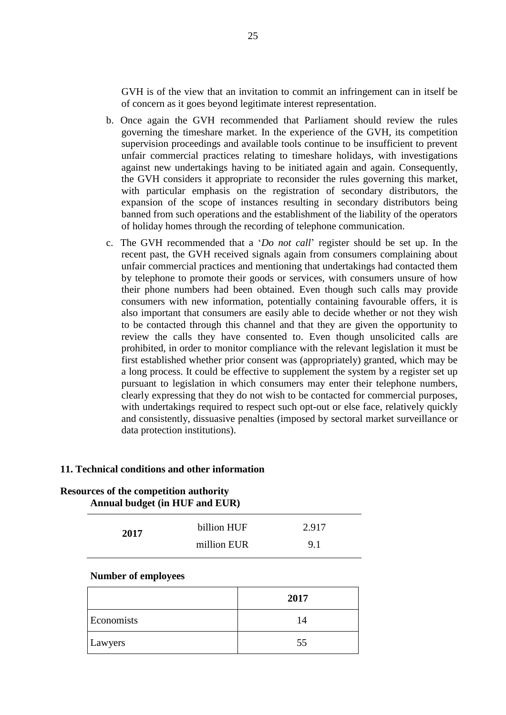GVH is of the view that an invitation to commit an infringement can in itself be of concern as it goes beyond legitimate interest representation.

- b. Once again the GVH recommended that Parliament should review the rules governing the timeshare market. In the experience of the GVH, its competition supervision proceedings and available tools continue to be insufficient to prevent unfair commercial practices relating to timeshare holidays, with investigations against new undertakings having to be initiated again and again. Consequently, the GVH considers it appropriate to reconsider the rules governing this market, with particular emphasis on the registration of secondary distributors, the expansion of the scope of instances resulting in secondary distributors being banned from such operations and the establishment of the liability of the operators of holiday homes through the recording of telephone communication.
- c. The GVH recommended that a '*Do not call*' register should be set up. In the recent past, the GVH received signals again from consumers complaining about unfair commercial practices and mentioning that undertakings had contacted them by telephone to promote their goods or services, with consumers unsure of how their phone numbers had been obtained. Even though such calls may provide consumers with new information, potentially containing favourable offers, it is also important that consumers are easily able to decide whether or not they wish to be contacted through this channel and that they are given the opportunity to review the calls they have consented to. Even though unsolicited calls are prohibited, in order to monitor compliance with the relevant legislation it must be first established whether prior consent was (appropriately) granted, which may be a long process. It could be effective to supplement the system by a register set up pursuant to legislation in which consumers may enter their telephone numbers, clearly expressing that they do not wish to be contacted for commercial purposes, with undertakings required to respect such opt-out or else face, relatively quickly and consistently, dissuasive penalties (imposed by sectoral market surveillance or data protection institutions).

#### <span id="page-24-0"></span>**11. Technical conditions and other information**

| <b>Resources of the competition authority</b> | Annual budget (in HUF and EUR) |       |  |
|-----------------------------------------------|--------------------------------|-------|--|
| 2017                                          | billion HUF                    | 2.917 |  |
|                                               | million EUR                    | 9.1   |  |

#### **Number of employees**

|            | 2017 |
|------------|------|
| Economists | 14   |
| Lawyers    | 55   |